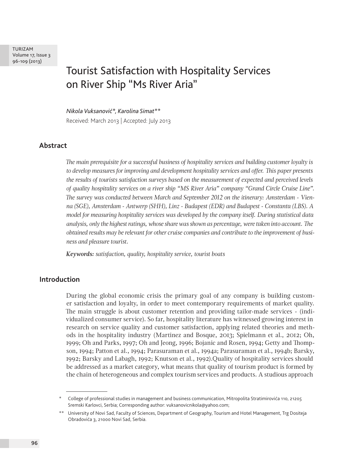TURIZAM Volume 17, Issue 3 96-109 (2013)

# Tourist Satisfaction with Hospitality Services on River Ship "Ms River Aria"

*Nikola Vuksanović\*, Karolina Simat\*\** Received: March 2013 | Accepted: July 2013

## **Abstract**

*The main prerequisite for a successful business of hospitality services and building customer loyalty is to develop measures for improving and development hospitality services and offer. This paper presents the results of tourists satisfaction surveys based on the measurement of expected and perceived levels of quality hospitality services on a river ship "MS River Aria" company "Grand Circle Cruise Line". The survey was conducted between March and September 2012 on the itinerary: Amsterdam - Vienna (SGE), Amsterdam - Antwerp (SHH), Linz - Budapest (EDR) and Budapest - Constanta (LBS). A model for measuring hospitality services was developed by the company itself. During statistical data analysis, only the highest ratings, whose share was shown as percentage, were taken into account. The obtained results may be relevant for other cruise companies and contribute to the improvement of business and pleasure tourist.*

*Keywords: satisfaction, quality, hospitality service, tourist boats*

#### **Introduction**

During the global economic crisis the primary goal of any company is building customer satisfaction and loyalty, in order to meet contemporary requirements of market quality. The main struggle is about customer retention and providing tailor-made services - (individualized consumer service). So far, hospitality literature has witnessed growing interest in research on service quality and customer satisfaction, applying related theories and methods in the hospitality industry (Martinez and Bosque, 2013; Spielmann et al., 2012; Oh, 1999; Oh and Parks, 1997; Oh and Jeong, 1996; Bojanic and Rosen, 1994; Getty and Thompson, 1994; Patton et al., 1994; Parasuraman et al., 1994a; Parasuraman et al., 1994b; Barsky, 1992; Barsky and Labagh, 1992; Knutson et al., 1992).Quality of hospitality services should be addressed as a market category, what means that quality of tourism product is formed by the chain of heterogeneous and complex tourism services and products. A studious approach

<sup>\*</sup> College of professional studies in management and business communication, Mitropolita Stratimirovića 110, 21205 Sremski Karlovci, Serbia; Corresponding author: vuksanovicnikola@yahoo.com;

<sup>\*\*</sup> University of Novi Sad, Faculty of Sciences, Department of Geography, Tourism and Hotel Management, Trg Dositeja Obradovića 3, 21000 Novi Sad, Serbia.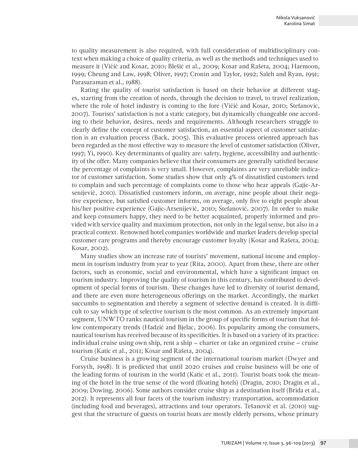to quality measurement is also required, with full consideration of multidisciplinary context when making a choice of quality criteria, as well as the methods and techniques used to measure it (Vićić and Kosar, 2010; Blešić et al., 2009; Kosar and Rašeta, 2004; Haemoon, 1999; Cheung and Law, 1998; Oliver, 1997; Cronin and Taylor, 1992; Saleh and Ryan, 1991; Parasuraman et al., 1988).

Rating the quality of tourist satisfaction is based on their behavior at different stages, starting from the creation of needs, through the decision to travel, to travel realization, where the role of hotel industry is coming to the fore (Vićić and Kosar, 2010; Stefanovic, 2007). Tourists' satisfaction is not a static category, but dynamically changeable one according to their behavior, desires, needs and requirements. Although researchers struggle to clearly define the concept of customer satisfaction, an essential aspect of customer satisfaction is an evaluation process (Back, 2005). This evaluative process oriented approach has been regarded as the most effective way to measure the level of customer satisfaction (Oliver, 1997; Yi, 1990). Key determinants of quality are: safety, hygiene, accessibility and authenticity of the offer. Many companies believe that their consumers are generally satisfied because the percentage of complaints is very small. However, complaints are very unreliable indicator of customer satisfaction. Some studies show that only 4% of dissatisfied customers tend to complain and such percentage of complaints come to those who hear appeals (Gajic-Arsenijević, 2010). Dissatisfied customers inform, on average, nine people about their negative experience, but satisfied customer informs, on average, only five to eight people about his/her positive experience (Gajic-Arsenijević, 2010; Stefanović, 2007). In order to make and keep consumers happy, they need to be better acquainted, properly informed and provided with service quality and maximum protection, not only in the legal sense, but also in a practical context. Renowned hotel companies worldwide and market leaders develop special customer care programs and thereby encourage customer loyalty (Kosar and Rašeta, 2004; Kosar, 2002).

Many studies show an increase rate of tourists' movement, national income and employment in tourism industry from year to year (Rita, 2000). Apart from these, there are other factors, such as economic, social and environmental, which have a significant impact on tourism industry. Improving the quality of tourism in this century, has contributed to development of special forms of tourism. These changes have led to diversity of tourist demand, and there are even more heterogeneous offerings on the market. Accordingly, the market succumbs to segmentation and thereby a segment of selective demand is created. It is difficult to say which type of selective tourism is the most common. As an extremely important segment, UNWTO ranks nautical tourism in the group of specific forms of tourism that follow contemporary trends (Hadzić and Bjelac, 2006). Its popularity among the consumers, nautical tourism has received because of its specificities. It is based on a variety of its practice: individual cruise using own ship, rent a ship – charter or take an organized cruise – cruise tourism (Katic et al., 2011; Kosar and Rašeta, 2004).

Cruise business is a growing segment of the international tourism market (Dwyer and Forsyth, 1998). It is predicted that until 2020 cruises and cruise business will be one of the leading forms of tourism in the world (Katic et al., 2011). Tourist boats took the meaning of the hotel in the true sense of the word (floating hotels) (Dragin, 2010; Dragin et al., 2009; Dowing, 2006). Some authors consider cruise ship as a destination itself (Brida et al., 2012). It represents all four facets of the tourism industry: transportation, accommodation (including food and beverages), attractions and tour operators. Tešanović et al. (2010) suggest that the structure of guests on tourist boats are mostly elderly persons, whose primary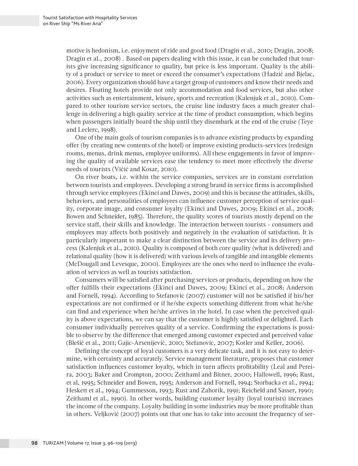motive is hedonism, i.e. enjoyment of ride and good food (Dragin et al., 2010; Dragin, 2008; Dragin et al., 2008) . Based on papers dealing with this issue, it can be concluded that tourists give increasing significance to quality, but price is less important. Quality is the ability of a product or service to meet or exceed the consumer's expectations (Hadzić and Bjelac, 2006). Every organization should have a target group of customers and know their needs and desires. Floating hotels provide not only accommodation and food services, but also other activities such as entertainment, leisure, sports and recreation (Kalenjuk et al., 2010). Compared to other tourism service sectors, the cruise line industry faces a much greater challenge in delivering a high quality service at the time of product consumption, which begins when passengers initially board the ship until they disembark at the end of the cruise (Teye and Leclerc, 1998).

One of the main goals of tourism companies is to advance existing products by expanding offer (by creating new contents of the hotel) or improve existing products-services (redesign rooms, menus, drink menus, employee uniforms). All these engagements in favor of improving the quality of available services ease the tendency to meet more effectively the diverse needs of tourists (Vićić and Kosar, 2010).

On river boats, i.e. within the service companies, services are in constant correlation between tourists and employees. Developing a strong brand in service firms is accomplished through service employees (Ekinci and Dawes, 2009) and this is because the attitudes, skills, behaviors, and personalities of employees can influence customer perception of service quality, corporate image, and consumer loyalty (Ekinci and Dawes, 2009; Ekinci et al., 2008; Bowen and Schneider, 1985). Therefore, the quality scores of tourists mostly depend on the service staff, their skills and knowledge. The interaction between tourists - consumers and employees may affects both positively and negatively in the evaluation of satisfaction. It is particularly important to make a clear distinction between the service and its delivery process (Kalenjuk et al., 2010). Quality is composed of both core quality (what is delivered) and relational quality (how it is delivered) with various levels of tangible and intangible elements (McDougall and Levesque, 2000). Employees are the ones who need to influence the evaluation of services as well as tourists satisfaction.

Consumers will be satisfied after purchasing services or products, depending on how the offer fulfills their expectations (Ekinci and Dawes, 2009; Ekinci et al., 2008; Anderson and Fornell, 1994). According to Stefanovic (2007) customer will not be satisfied if his/her expectations are not confirmed or if he/she expects something different from what he/she can find and experience when he/she arrives in the hotel. In case when the perceived quality is above expectations, we can say that the customer is highly satisfied or delighted. Each consumer individually perceives quality of a service. Confirming the expectations is possible to observe by the difference that emerged among customer expected and perceived value (Blešić et al., 2011; Gajic-Arsenijević, 2010; Stefanovic, 2007; Kotler and Keller, 2006).

Defining the concept of loyal customers is a very delicate task, and it is not easy to determine, with certainty and accurately. Service management literature, proposes that customer satisfaction influences customer loyalty, which in turn affects profitability (Leal and Pereira, 2003; Baker and Crompton, 2000; Zeithaml and Bitner, 2000; Hallowell, 1996; Rust, et al, 1995; Schneider and Bowen, 1995; Anderson and Fornell, 1994; Storbacka et al., 1994; Heskett et al., 1994; Gummesson, 1993; Rust and Zahorik, 1991; Reicheld and Sasser, 1990; Zeithaml et al., 1990). In other words, building customer loyalty (loyal tourists) increases the income of the company. Loyalty building in some industries may be more profitable than in others. Veljković (2007) points out that one has to take into account the frequency of ser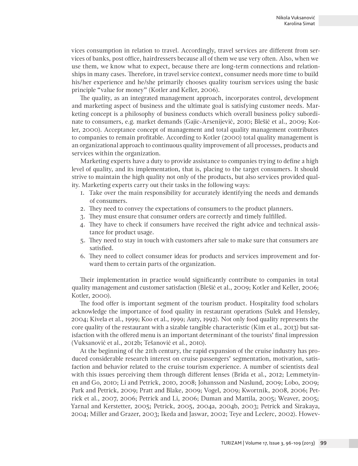vices consumption in relation to travel. Accordingly, travel services are different from services of banks, post office, hairdressers because all of them we use very often. Also, when we use them, we know what to expect, because there are long-term connections and relationships in many cases. Therefore, in travel service context, consumer needs more time to build his/her experience and he/she primarily chooses quality tourism services using the basic principle "value for money" (Kotler and Keller, 2006).

The quality, as an integrated management approach, incorporates control, development and marketing aspect of business and the ultimate goal is satisfying customer needs. Marketing concept is a philosophy of business conducts which overall business policy subordinate to consumers, e.g. market demands (Gajic-Arsenijević, 2010; Blešić et al., 2009; Kotler, 2000). Acceptance concept of management and total quality management contributes to companies to remain profitable. According to Kotler (2000) total quality management is an organizational approach to continuous quality improvement of all processes, products and services within the organization.

Marketing experts have a duty to provide assistance to companies trying to define a high level of quality, and its implementation, that is, placing to the target consumers. It should strive to maintain the high quality not only of the products, but also services provided quality. Marketing experts carry out their tasks in the following ways:

- 1. Take over the main responsibility for accurately identifying the needs and demands of consumers.
- 2. They need to convey the expectations of consumers to the product planners.
- 3. They must ensure that consumer orders are correctly and timely fulfilled.
- 4. They have to check if consumers have received the right advice and technical assistance for product usage.
- 5. They need to stay in touch with customers after sale to make sure that consumers are satisfied.
- 6. They need to collect consumer ideas for products and services improvement and forward them to certain parts of the organization.

Their implementation in practice would significantly contribute to companies in total quality management and customer satisfaction (Blešić et al., 2009; Kotler and Keller, 2006; Kotler, 2000).

The food offer is important segment of the tourism product. Hospitality food scholars acknowledge the importance of food quality in restaurant operations (Sulek and Hensley, 2004; Kivela et al., 1999; Koo et al., 1999; Auty, 1992). Not only food quality represents the core quality of the restaurant with a sizable tangible characteristic (Kim et al., 2013) but satisfaction with the offered menu is an important determinant of the tourists' final impression (Vuksanović et al., 2012b; Tešanović et al., 2010).

At the beginning of the 21th century, the rapid expansion of the cruise industry has produced considerable research interest on cruise passengers' segmentation, motivation, satisfaction and behavior related to the cruise tourism experience. A number of scientists deal with this issues perceiving them through different lenses (Brida et al., 2012; Lemmetyinen and Go, 2010; Li and Petrick, 2010, 2008; Johansson and Naslund, 2009; Lobo, 2009; Park and Petrick, 2009; Pratt and Blake, 2009; Vogel, 2009; Kwortnik, 2008, 2006; Petrick et al., 2007, 2006; Petrick and Li, 2006; Duman and Mattila, 2005; Weaver, 2005; Yarnal and Kerstetter, 2005; Petrick, 2005, 2004a, 2004b, 2003; Petrick and Sirakaya, 2004; Miller and Grazer, 2003; Ikeda and Jaswar, 2002; Teye and Leclerc, 2002). Howev-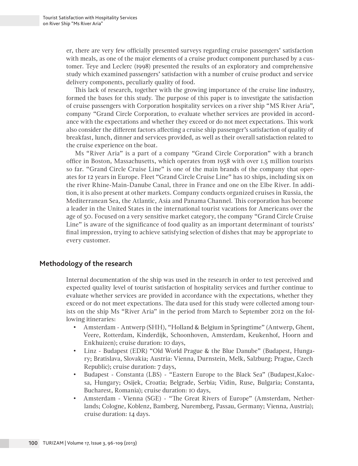er, there are very few officially presented surveys regarding cruise passengers' satisfaction with meals, as one of the major elements of a cruise product component purchased by a customer. Teye and Leclerc (1998) presented the results of an exploratory and comprehensive study which examined passengers' satisfaction with a number of cruise product and service delivery components, peculiarly quality of food.

This lack of research, together with the growing importance of the cruise line industry, formed the bases for this study. The purpose of this paper is to investigate the satisfaction of cruise passengers with Corporation hospitality services on a river ship "MS River Aria", company "Grand Circle Corporation, to evaluate whether services are provided in accordance with the expectations and whether they exceed or do not meet expectations. This work also consider the different factors affecting a cruise ship passenger's satisfaction of quality of breakfast, lunch, dinner and services provided, as well as their overall satisfaction related to the cruise experience on the boat.

Ms "River Aria" is a part of a company "Grand Circle Corporation" with a branch office in Boston, Massachusetts, which operates from 1958 with over 1.5 million tourists so far. "Grand Circle Cruise Line" is one of the main brands of the company that operates for 12 years in Europe. Fleet "Grand Circle Cruise Line" has 10 ships, including six on the river Rhine-Main-Danube Canal, three in France and one on the Elbe River. In addition, it is also present at other markets. Company conducts organized cruises in Russia, the Mediterranean Sea, the Atlantic, Asia and Panama Channel. This corporation has become a leader in the United States in the international tourist vacations for Americans over the age of 50. Focused on a very sensitive market category, the company "Grand Circle Cruise Line" is aware of the significance of food quality as an important determinant of tourists' final impression, trying to achieve satisfying selection of dishes that may be appropriate to every customer.

### **Methodology of the research**

Internal documentation of the ship was used in the research in order to test perceived and expected quality level of tourist satisfaction of hospitality services and further continue to evaluate whether services are provided in accordance with the expectations, whether they exceed or do not meet expectations. The data used for this study were collected among tourists on the ship Ms "River Aria" in the period from March to September 2012 on the following itineraries:

- • Amsterdam Antwerp (SHH), "Holland & Belgium in Springtime" (Antwerp, Ghent, Veere, Rotterdam, Kinderdijk, Schoonhoven, Amsterdam, Keukenhof, Hoorn and Enkhuizen); cruise duration: 10 days,
- Linz Budapest (EDR) "Old World Prague & the Blue Danube" (Budapest, Hungary; Bratislava, Slovakia; Austria: Vienna, Durnstein, Melk, Salzburg; Prague, Czech Republic); cruise duration: 7 days,
- • Budapest Constanta (LBS) "Eastern Europe to the Black Sea" (Budapest,Kalocsa, Hungary; Osijek, Croatia; Belgrade, Serbia; Vidin, Ruse, Bulgaria; Constanta, Bucharest, Romania); cruise duration: 10 days,
- • Amsterdam Vienna (SGE) "The Great Rivers of Europe" (Amsterdam, Netherlands; Cologne, Koblenz, Bamberg, Nuremberg, Passau, Germany; Vienna, Austria); cruise duration: 14 days.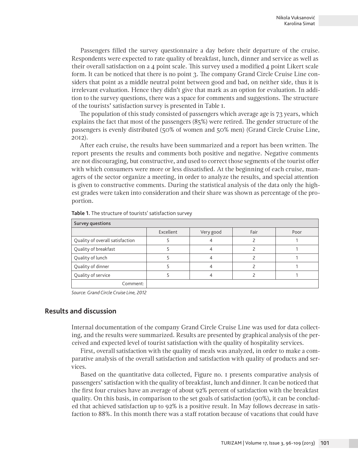Passengers filled the survey questionnaire a day before their departure of the cruise. Respondents were expected to rate quality of breakfast, lunch, dinner and service as well as their overall satisfaction on a 4 point scale. This survey used a modified 4 point Likert scale form. It can be noticed that there is no point 3. The company Grand Circle Cruise Line considers that point as a middle neutral point between good and bad, on neither side, thus it is irrelevant evaluation. Hence they didn't give that mark as an option for evaluation. In addition to the survey questions, there was a space for comments and suggestions. The structure of the tourists' satisfaction survey is presented in Table 1.

The population of this study consisted of passengers which average age is 73 years, which explains the fact that most of the passengers (85%) were retired. The gender structure of the passengers is evenly distributed (50% of women and 50% men) (Grand Circle Cruise Line, 2012).

After each cruise, the results have been summarized and a report has been written. The report presents the results and comments both positive and negative. Negative comments are not discouraging, but constructive, and used to correct those segments of the tourist offer with which consumers were more or less dissatisfied. At the beginning of each cruise, managers of the sector organize a meeting, in order to analyze the results, and special attention is given to constructive comments. During the statistical analysis of the data only the highest grades were taken into consideration and their share was shown as percentage of the proportion.

| Survey questions                |           |           |      |      |
|---------------------------------|-----------|-----------|------|------|
|                                 | Excellent | Very good | Fair | Poor |
| Quality of overall satisfaction |           |           |      |      |
| Quality of breakfast            |           |           |      |      |
| Quality of lunch                |           |           |      |      |
| Quality of dinner               |           |           |      |      |
| Quality of service              |           |           |      |      |
| Comment:                        |           |           |      |      |

**Table 1.** The structure of tourists' satisfaction survey

*Source: Grand Circle Cruise Line, 2012*

# **Results and discussion**

Internal documentation of the company Grand Circle Cruise Line was used for data collecting, and the results were summarized. Results are presented by graphical analysis of the perceived and expected level of tourist satisfaction with the quality of hospitality services.

First, overall satisfaction with the quality of meals was analyzed, in order to make a comparative analysis of the overall satisfaction and satisfaction with quality of products and services.

Based on the quantitative data collected, Figure no. 1 presents comparative analysis of passengers' satisfaction with the quality of breakfast, lunch and dinner. It can be noticed that the first four cruises have an average of about 92% percent of satisfaction with the breakfast quality. On this basis, in comparison to the set goals of satisfaction (90%), it can be concluded that achieved satisfaction up to 92% is a positive result. In May follows decrease in satisfaction to 88%. In this month there was a staff rotation because of vacations that could have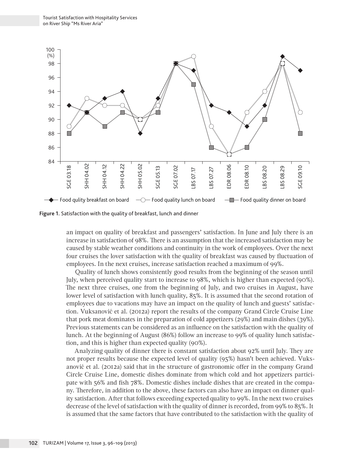

**Figure 1.** Satisfaction with the quality of breakfast, lunch and dinner

an impact on quality of breakfast and passengers' satisfaction. In June and July there is an increase in satisfaction of 98%. There is an assumption that the increased satisfaction may be caused by stable weather conditions and continuity in the work of employees. Over the next four cruises the lover satisfaction with the quality of breakfast was caused by fluctuation of employees. In the next cruises, increase satisfaction reached a maximum of 99%.

Quality of lunch shows consistently good results from the beginning of the season until July, when perceived quality start to increase to 98%, which is higher than expected (90%). The next three cruises, one from the beginning of July, and two cruises in August, have lower level of satisfaction with lunch quality, 85%. It is assumed that the second rotation of employees due to vacations may have an impact on the quality of lunch and guests' satisfaction. Vuksanović et al. (2012a) report the results of the company Grand Circle Cruise Line that pork meat dominates in the preparation of cold appetizers (29%) and main dishes (39%). Previous statements can be considered as an influence on the satisfaction with the quality of lunch. At the beginning of August (86%) follow an increase to 99% of quality lunch satisfaction, and this is higher than expected quality (90%).

Analyzing quality of dinner there is constant satisfaction about 92% until July. They are not proper results because the expected level of quality (95%) hasn't been achieved. Vuksanović et al. (2012a) said that in the structure of gastronomic offer in the company Grand Circle Cruise Line, domestic dishes dominate from which cold and hot appetizers participate with 56% and fish 78%. Domestic dishes include dishes that are created in the company. Therefore, in addition to the above, these factors can also have an impact on dinner quality satisfaction. After that follows exceeding expected quality to 99%. In the next two cruises decrease of the level of satisfaction with the quality of dinner is recorded, from 99% to 85%. It is assumed that the same factors that have contributed to the satisfaction with the quality of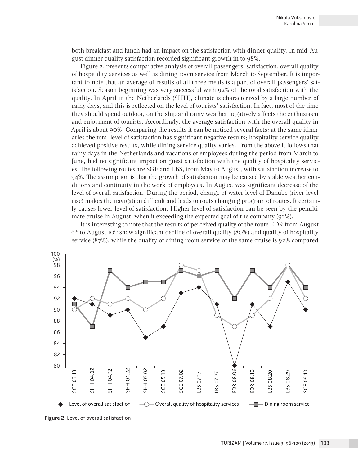both breakfast and lunch had an impact on the satisfaction with dinner quality. In mid-August dinner quality satisfaction recorded significant growth in to 98%.

Figure 2. presents comparative analysis of overall passengers' satisfaction, overall quality of hospitality services as well as dining room service from March to September. It is important to note that an average of results of all three meals is a part of overall passengers' satisfaction. Season beginning was very successful with 92% of the total satisfaction with the quality. In April in the Netherlands (SHH), climate is characterized by a large number of rainy days, and this is reflected on the level of tourists' satisfaction. In fact, most of the time they should spend outdoor, on the ship and rainy weather negatively affects the enthusiasm and enjoyment of tourists. Accordingly, the average satisfaction with the overall quality in April is about 90%. Comparing the results it can be noticed several facts: at the same itineraries the total level of satisfaction has significant negative results; hospitality service quality achieved positive results, while dining service quality varies. From the above it follows that rainy days in the Netherlands and vacations of employees during the period from March to June, had no significant impact on guest satisfaction with the quality of hospitality services. The following routes are SGE and LBS, from May to August, with satisfaction increase to 94%. The assumption is that the growth of satisfaction may be caused by stable weather conditions and continuity in the work of employees. In August was significant decrease of the level of overall satisfaction. During the period, change of water level of Danube (river level rise) makes the navigation difficult and leads to routs changing program of routes. It certainly causes lower level of satisfaction. Higher level of satisfaction can be seen by the penultimate cruise in August, when it exceeding the expected goal of the company (92%).

It is interesting to note that the results of perceived quality of the route EDR from August  $6<sup>th</sup>$  to August 10<sup>th</sup> show significant decline of overall quality (80%) and quality of hospitality service (87%), while the quality of dining room service of the same cruise is 92% compared

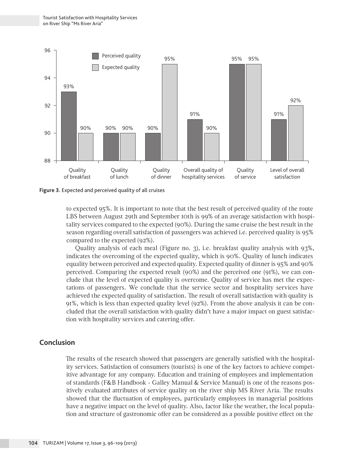

**Figure 3.** Expected and perceived quality of all cruises

to expected 95%. It is important to note that the best result of perceived quality of the route LBS between August 29th and September 10th is 99% of an average satisfaction with hospitality services compared to the expected (90%). During the same cruise the best result in the season regarding overall satisfaction of passengers was achieved i.e. perceived quality is 95% compared to the expected (92%).

Quality analysis of each meal (Figure no. 3), i.e. breakfast quality analysis with 93%, indicates the overcoming of the expected quality, which is 90%. Quality of lunch indicates equality between perceived and expected quality. Expected quality of dinner is 95% and 90% perceived. Comparing the expected result (90%) and the perceived one (91%), we can conclude that the level of expected quality is overcome. Quality of service has met the expectations of passengers. We conclude that the service sector and hospitality services have achieved the expected quality of satisfaction. The result of overall satisfaction with quality is 91%, which is less than expected quality level (92%). From the above analysis it can be concluded that the overall satisfaction with quality didn't have a major impact on guest satisfaction with hospitality services and catering offer.

## **Conclusion**

The results of the research showed that passengers are generally satisfied with the hospitality services. Satisfaction of consumers (tourists) is one of the key factors to achieve competitive advantage for any company. Education and training of employees and implementation of standards (F&B Handbook - Galley Manual & Service Manual) is one of the reasons positively evaluated attributes of service quality on the river ship MS River Aria. The results showed that the fluctuation of employees, particularly employees in managerial positions have a negative impact on the level of quality. Also, factor like the weather, the local population and structure of gastronomic offer can be considered as a possible positive effect on the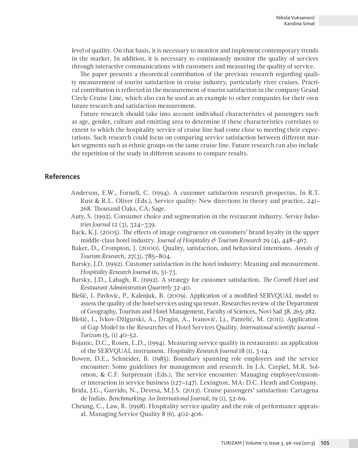level of quality. On that basis, it is necessary to monitor and implement contemporary trends in the market. In addition, it is necessary to continuously monitor the quality of services through interactive communications with customers and measuring the quality of service.

The paper presents a theoretical contribution of the previous research regarding quality measurement of tourist satisfaction in cruise industry, particularly river cruises. Practical contribution is reflected in the measurement of tourist satisfaction in the company Grand Circle Cruise Line, which also can be used as an example to other companies for their own future research and satisfaction measurement.

Future research should take into account individual characteristics of passengers such as age, gender, culture and emitting area to determine if these characteristics correlates to extent to which the hospitality service of cruise line had come close to meeting their expectations. Such research could focus on comparing service satisfaction between different market segments such as ethnic groups on the same cruise line. Future research can also include the repetition of the study in different seasons to compare results.

#### **References**

- Anderson, E.W., Fornell, C. (1994). A customer satisfaction research prospectus. In R.T. Rust & R.L. Oliver (Eds.), Service quality: New directions in theory and practice, 241– 268. Thousand Oaks, CA: Sage.
- Auty, S. (1992). Consumer choice and segmentation in the restaurant industry. *Service Industries Journal* 12 (3), 324–339.
- Back, K.J. (2005). The effects of image congruence on customers' brand loyalty in the upper middle-class hotel industry. *Journal of Hospitality & Tourism Research* 29 (4), 448–467.
- Baker, D., Crompton, J. (2000). Quality, satisfaction, and behavioral intentions. *Annals of Tourism Research*, 27(3), 785–804.
- Barsky, J.D. (1992). Customer satisfaction in the hotel industry: Meaning and measurement. *Hospitality Research Journal* 16, 51-73.
- Barsky, J.D., Labagh, R. (1992). A strategy for customer satisfaction. *The Cornell Hotel and Restaurant Administration Quarterly* 32-40.
- Blešić, I. Pavlovic, P., Kalenjuk, B. (2009). Application of a modified SERVQUAL model to assess the quality of the hotel services using spa resort. Researches review of the Department of Geography, Tourism and Hotel Management, Faculty of Sciences, Novi Sad 38, 265-282.
- Blešić, I., Ivkov-Džigurski, A., Dragin, A., Ivanović, Lj., Pantelić, M. (2011). Application of Gap Model in the Researches of Hotel Services Quality. *International scientific journal – Turizam* 15, (1) 40-52.
- Bojanic, D.C., Rosen, L.D., (1994). Measuring service quality in restaurants: an application of the SERVQUAL instrument. *Hospitality Research Journal* 18 (1), 3-14.
- Bowen, D.E., Schneider, B. (1985). Boundary spanning role employees and the service encounter: Some guidelines for management and research. In J.A. Czepiel, M.R. Solomon, & C.F. Surprenant (Eds.), The service encounter: Managing employee/customer interaction in service business (127–147). Lexington, MA: D.C. Heath and Company.
- Brida, J.G., Garrido, N., Devesa, M.J.S. (2012). Cruise passengers' satisfaction: Cartagena de Indias. *Benchmarking: An International Journal*, 19 (1), 52-69.
- Cheung, C., Law, R. (1998). Hospitality service quality and the role of performance appraisal. Managing Service Quality 8 (6), 402-406.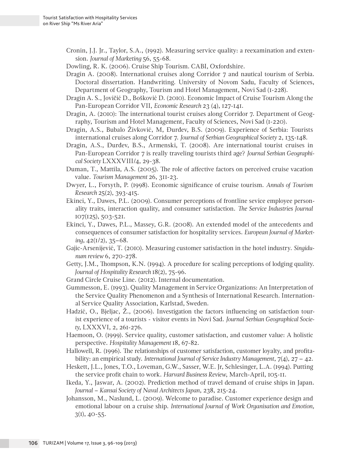Cronin, J.J. Jr., Taylor, S.A., (1992). Measuring service quality: a reexamination and extension. *Journal of Marketing* 56, 55-68.

Dowling, R. K. (2006). Cruise Ship Tourism. CABI, Oxfordshire.

- Dragin A. (2008). International cruises along Corridor 7 and nautical tourism of Serbia. Doctoral dissertation. Handwriting. University of Novom Sadu, Faculty of Sciences, Department of Geography, Tourism and Hotel Management, Novi Sad (1-228).
- Dragin A. S., Jovičić D., Bošković D. (2010). Economic Impact of Cruise Tourism Along the Pan-European Corridor VII, *Economic Research* 23 (4), 127-141.
- Dragin, A. (2010): The international tourist cruises along Corridor 7. Department of Geography, Tourism and Hotel Management, Faculty of Sciences, Novi Sad (1-220).
- Dragin, A.S., Bubalo Živković, M, Đurđev, B.S. (2009). Experience of Serbia: Tourists international cruises along Corridor 7. *Journal of Serbian Geographical Society* 2, 135-148.
- Dragin, A.S., Đurđev, B.S., Armenski, T. (2008). Are international tourist cruises in Pan-European Corridor 7 is really traveling tourists third age? *Journal Serbian Geographical Society* LXXXVIII/4, 29-38.
- Duman, T., Mattila, A.S. (2005). The role of affective factors on perceived cruise vacation value. *Tourism Management* 26, 311-23.
- Dwyer, L., Forsyth, P. (1998). Economic significance of cruise tourism. *Annals of Tourism Research* 25(2), 393-415.
- Ekinci, Y., Dawes, P.L. (2009). Consumer perceptions of frontline sevice employee personality traits, interaction quality, and consumer satisfaction. *The Service Industries Journal*  107(125), 503-521.
- Ekinci, Y., Dawes, P.L., Massey, G.R. (2008). An extended model of the antecedents and consequences of consumer satisfaction for hospitality services. *European Journal of Marketing*, 42(1/2), 35–68.
- Gajic-Arsenijević, T. (2010). Measuring customer satisfaction in the hotel industry. *Singidunum review* 6, 270-278.
- Getty, J.M., Thompson, K.N. (1994). A procedure for scaling perceptions of lodging quality. *Journal of Hospitality Research* 18(2), 75-96.
- Grand Circle Cruise Line. (2012). Internal documentation.
- Gummesson, E. (1993). Quality Management in Service Organizations: An Interpretation of the Service Quality Phenomenon and a Synthesis of International Research. International Service Quality Association, Karlstad, Sweden.
- Hadzić, O., Bjeljac, Ž., (2006). Investigation the factors influencing on satisfaction tourist experience of a tourists - visitor events in Novi Sad. *Journal Serbian Geographical Society*, LXXXVI, 2, 261-276.
- Haemoon, O. (1999). Service quality, customer satisfaction, and customer value: A holistic perspective. *Hospitality Management* 18, 67-82.
- Hallowell, R. (1996). The relationships of customer satisfaction, customer loyalty, and profitability: an empirical study. *International Journal of Service Industry Management*, 7(4), 27 – 42.
- Heskett, J.L., Jones, T.O., Loveman, G.W., Sasser, W.E. Jr, Schlesinger, L.A. (1994). Putting the service profit chain to work. *Harvard Business Review*, March-April, 105-11.
- Ikeda, Y., Jaswar, A. (2002). Prediction method of travel demand of cruise ships in Japan. *Journal – Kansai Society of Naval Architects Japan*, 238, 215-24.
- Johansson, M., Naslund, L. (2009). Welcome to paradise. Customer experience design and emotional labour on a cruise ship. *International Journal of Work Organisation and Emotion,*  $3(1), 40-55.$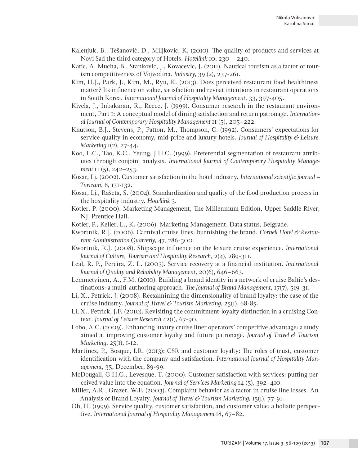- Kalenjuk, B., Tešanović, D., Miljkovic, K. (2010). The quality of products and services at Novi Sad the third category of Hotels. *Hotellink* 10, 230 – 240.
- Katic, A. Mucha, B., Stankovic, J., Kovacevic, J. (2011). Nautical tourism as a factor of tourism competitiveness of Vojvodina. *Industry*, 39 (2), 237-261.
- Kim, H.J., Park, J., Kim, M., Ryu, K. (2013). Does perceived restaurant food healthiness matter? Its influence on value, satisfaction and revisit intentions in restaurant operations in South Korea. *International Journal of Hospitality Management*, 33, 397-405.
- Kivela, J., Inbakaran, R., Reece, J. (1999). Consumer research in the restaurant environment, Part 1: A conceptual model of dining satisfaction and return patronage. *International Journal of Contemporary Hospitality Management* 11 (5), 205–222.
- Knutson, B.J., Stevens, P., Patton, M., Thompson, C. (1992). Consumers' expectations for service quality in economy, mid-price and luxury hotels. *Journal of Hospitality & Leisure Marketing* 1(2), 27-44.
- Koo, L.C., Tao, K.C., Yeung, J.H.C. (1999). Preferential segmentation of restaurant attributes through conjoint analysis. *International Journal of Contemporary Hospitality Management* 11 (5), 242–253.
- Kosar, Lj. (2002). Customer satisfaction in the hotel industry. *International scientific journal Turizam*, 6, 131-132.
- Kosar, Lj., Rašeta, S. (2004). Standardization and quality of the food production process in the hospitality industry. *Hotellink* 3.
- Kotler, P. (2000). Marketing Management, The Millennium Edition, Upper Saddle River, NJ, Prentice Hall.
- Kotler, P., Keller, L., K. (2006). Marketing Management, Data status, Belgrade.
- Kwortnik, R.J. (2006). Carnival cruise lines: burnishing the brand. *Cornell Hotel & Restaurant Administration Quarterly*, 47, 286-300.
- Kwortnik, R.J. (2008). Shipscape influence on the leisure cruise experience. *International Journal of Culture, Tourism and Hospitality Research*, 2(4), 289-311.
- Leal, R. P., Pereira, Z. L. (2003). Service recovery at a financial institution. *International Journal of Quality and Reliability Management*, 20(6), 646–663.
- Lemmetyinen, A., F.M. (2010). Building a brand identity in a network of cruise Baltic's destinations: a multi-authoring approach. *The Journal of Brand Management*, 17(7), 519-31.
- Li, X., Petrick, J. (2008). Reexamining the dimensionality of brand loyalty: the case of the cruise industry. *Journal of Travel & Tourism Marketing*, 25(1), 68-85.
- Li, X., Petrick, J.F. (2010). Revisiting the commitment-loyalty distinction in a cruising Context. *Journal of Leisure Research* 42(1), 67-90.
- Lobo, A.C. (2009). Enhancing luxury cruise liner operators' competitive advantage: a study aimed at improving customer loyalty and future patronage. *Journal of Travel & Tourism Marketing*, 25(1), 1-12.
- Martínez, P., Bosque, I.R. (2013): CSR and customer loyalty: The roles of trust, customer identification with the company and satisfaction. *International Journal of Hospitality Management*, 35, December, 89-99.
- McDougall, G.H.G., Levesque, T. (2000). Customer satisfaction with services: putting perceived value into the equation. *Journal of Services Marketing* 14 (5), 392–410.
- Miller, A.R., Grazer, W.F. (2003). Complaint behavior as a factor in cruise line losses. An Analysis of Brand Loyalty. *Journal of Travel & Tourism Marketing*, 15(1), 77-91.
- Oh, H. (1999). Service quality, customer satisfaction, and customer value: a holistic perspective. *International Journal of Hospitality Management* 18, 67–82.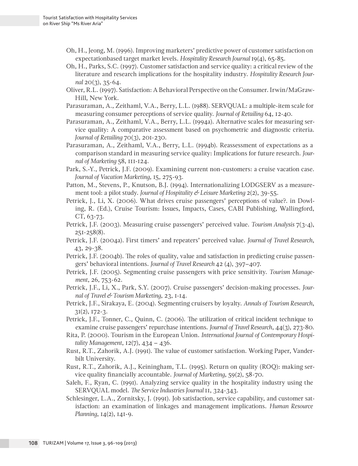- Oh, H., Jeong, M. (1996). Improving marketers' predictive power of customer satisfaction on expectationbased target market levels. *Hospitality Research Journal* 19(4), 65-85.
- Oh, H., Parks, S.C. (1997). Customer satisfaction and service quality: a critical review of the literature and research implications for the hospitality industry. *Hospitality Research Journal* 20(3), 35-64.
- Oliver, R.L. (1997). Satisfaction: A Behavioral Perspective on the Consumer. Irwin/MaGraw-Hill, New York.
- Parasuraman, A., Zeithaml, V.A., Berry, L.L. (1988). SERVQUAL: a multiple-item scale for measuring consumer perceptions of service quality. *Journal of Retailing* 64, 12-40.
- Parasuraman, A., Zeithaml, V.A., Berry, L.L. (1994a). Alternative scales for measuring service quality: A comparative assessment based on psychometric and diagnostic criteria. *Journal of Retailing* 70(3), 201-230.
- Parasuraman, A., Zeithaml, V.A., Berry, L.L. (1994b). Reassessment of expectations as a comparison standard in measuring service quality: Implications for future research. *Journal of Marketing* 58, 111-124.
- Park, S.-Y., Petrick, J.F. (2009). Examining current non-customers: a cruise vacation case. *Journal of Vacation Marketing*, 15, 275-93.
- Patton, M., Stevens, P., Knutson, B.J. (1994). Internationalizing LODGSERV as a measurement tool: a pilot study. *Journal of Hospitality & Leisure Marketing* 2(2), 39-55.
- Petrick, J., Li, X. (2006). What drives cruise passengers' perceptions of value?. in Dowling, R. (Ed.), Cruise Tourism: Issues, Impacts, Cases, CABI Publishing, Wallingford, CT, 63-73.
- Petrick, J.F. (2003). Measuring cruise passengers' perceived value. *Tourism Analysis* 7(3-4), 251-258(8).
- Petrick, J.F. (2004a). First timers' and repeaters' perceived value. *Journal of Travel Research*, 43, 29-38.
- Petrick, J.F. (2004b). The roles of quality, value and satisfaction in predicting cruise passengers' behavioral intentions. *Journal of Travel Research* 42 (4), 397–407.
- Petrick, J.F. (2005). Segmenting cruise passengers with price sensitivity. *Tourism Management*, 26, 753-62.
- Petrick, J.F., Li, X., Park, S.Y. (2007). Cruise passengers' decision-making processes. *Journal of Travel & Tourism Marketing*, 23, 1-14.
- Petrick, J.F., Sirakaya, E. (2004). Segmenting cruisers by loyalty. *Annals of Tourism Research*, 31(2), 172-3.
- Petrick, J.F., Tonner, C., Quinn, C. (2006). The utilization of critical incident technique to examine cruise passengers' repurchase intentions. *Journal of Travel Research*, 44(3), 273-80.
- Rita, P. (2000). Tourism in the European Union. *International Journal of Contemporary Hospitality Management*, 12(7), 434 – 436.
- Rust, R.T., Zahorik, A.J. (1991). The value of customer satisfaction. Working Paper, Vanderbilt University.
- Rust, R.T., Zahorik, A.J., Keiningham, T.L. (1995). Return on quality (ROQ): making service quality financially accountable. *Journal of Marketing*, 59(2), 58-70.
- Saleh, F., Ryan, C. (1991). Analyzing service quality in the hospitality industry using the SERVQUAL model. *The Service Industries Journal* 11, 324-343.
- Schlesinger, L.A., Zornitsky, J. (1991). Job satisfaction, service capability, and customer satisfaction: an examination of linkages and management implications. *Human Resource Planning*, 14(2), 141-9.